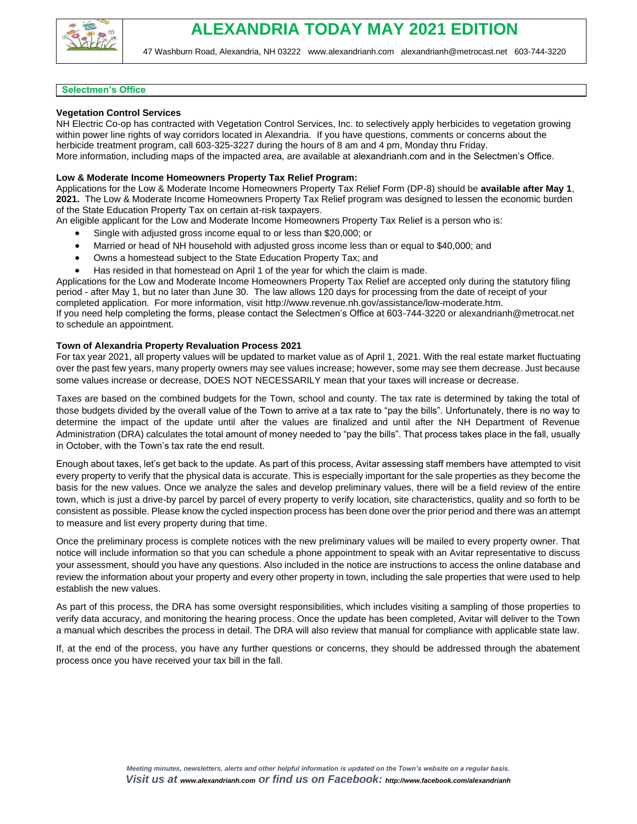

### **Selectmen's Office**

# **Vegetation Control Services**

NH Electric Co-op has contracted with Vegetation Control Services, Inc. to selectively apply herbicides to vegetation growing within power line rights of way corridors located in Alexandria. If you have questions, comments or concerns about the herbicide treatment program, call 603-325-3227 during the hours of 8 am and 4 pm, Monday thru Friday. More information, including maps of the impacted area, are available at alexandrianh.com and in the Selectmen's Office.

# **Low & Moderate Income Homeowners Property Tax Relief Program:**

Applications for the Low & Moderate Income Homeowners Property Tax Relief Form (DP-8) should be **available after May 1**, **2021.** The Low & Moderate Income Homeowners Property Tax Relief program was designed to lessen the economic burden of the State Education Property Tax on certain at-risk taxpayers.

An eligible applicant for the Low and Moderate Income Homeowners Property Tax Relief is a person who is:

- Single with adjusted gross income equal to or less than \$20,000; or
- Married or head of NH household with adjusted gross income less than or equal to \$40,000; and
- Owns a homestead subject to the State Education Property Tax; and
- Has resided in that homestead on April 1 of the year for which the claim is made.

Applications for the Low and Moderate Income Homeowners Property Tax Relief are accepted only during the statutory filing period - after May 1, but no later than June 30. The law allows 120 days for processing from the date of receipt of your completed application. For more information, visit [http://www.revenue.nh.gov/assistance/low-moderate.htm.](http://www.revenue.nh.gov/assistance/low-moderate.htm) If you need help completing the forms, please contact the Selectmen's Office at 603-744-3220 or [alexandrianh@metrocat.net](mailto:alexandrianh@metrocat.net) to schedule an appointment.

# **Town of Alexandria Property Revaluation Process 2021**

For tax year 2021, all property values will be updated to market value as of April 1, 2021. With the real estate market fluctuating over the past few years, many property owners may see values increase; however, some may see them decrease. Just because some values increase or decrease, DOES NOT NECESSARILY mean that your taxes will increase or decrease.

Taxes are based on the combined budgets for the Town, school and county. The tax rate is determined by taking the total of those budgets divided by the overall value of the Town to arrive at a tax rate to "pay the bills". Unfortunately, there is no way to determine the impact of the update until after the values are finalized and until after the NH Department of Revenue Administration (DRA) calculates the total amount of money needed to "pay the bills". That process takes place in the fall, usually in October, with the Town's tax rate the end result.

Enough about taxes, let's get back to the update. As part of this process, Avitar assessing staff members have attempted to visit every property to verify that the physical data is accurate. This is especially important for the sale properties as they become the basis for the new values. Once we analyze the sales and develop preliminary values, there will be a field review of the entire town, which is just a drive-by parcel by parcel of every property to verify location, site characteristics, quality and so forth to be consistent as possible. Please know the cycled inspection process has been done over the prior period and there was an attempt to measure and list every property during that time.

Once the preliminary process is complete notices with the new preliminary values will be mailed to every property owner. That notice will include information so that you can schedule a phone appointment to speak with an Avitar representative to discuss your assessment, should you have any questions. Also included in the notice are instructions to access the online database and review the information about your property and every other property in town, including the sale properties that were used to help establish the new values.

As part of this process, the DRA has some oversight responsibilities, which includes visiting a sampling of those properties to verify data accuracy, and monitoring the hearing process. Once the update has been completed, Avitar will deliver to the Town a manual which describes the process in detail. The DRA will also review that manual for compliance with applicable state law.

If, at the end of the process, you have any further questions or concerns, they should be addressed through the abatement process once you have received your tax bill in the fall.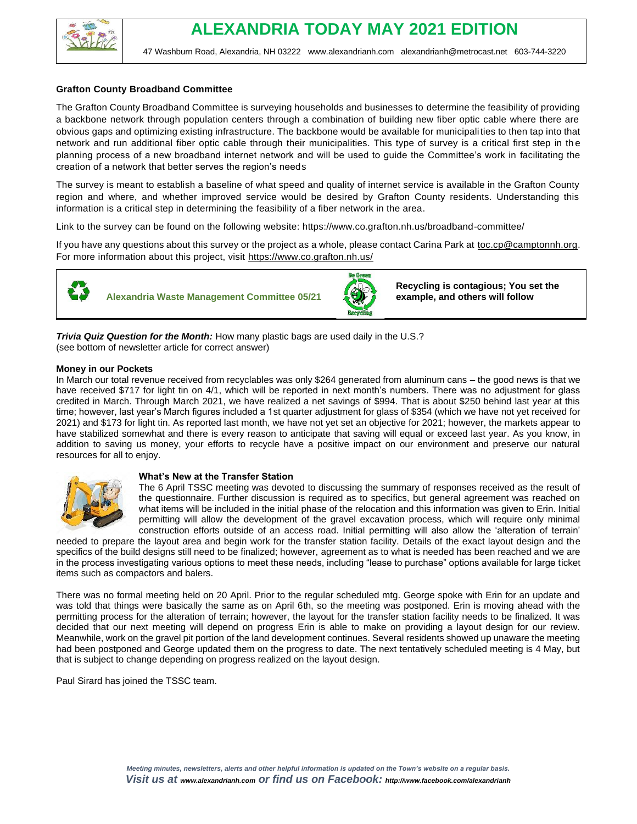

# **Grafton County Broadband Committee**

The Grafton County Broadband Committee is surveying households and businesses to determine the feasibility of providing a backbone network through population centers through a combination of building new fiber optic cable where there are obvious gaps and optimizing existing infrastructure. The backbone would be available for municipalities to then tap into that network and run additional fiber optic cable through their municipalities. This type of survey is a critical first step in the planning process of a new broadband internet network and will be used to guide the Committee's work in facilitating the creation of a network that better serves the region's needs

The survey is meant to establish a baseline of what speed and quality of internet service is available in the Grafton County region and where, and whether improved service would be desired by Grafton County residents. Understanding this information is a critical step in determining the feasibility of a fiber network in the area.

Link to the survey can be found on the following website: https://www.co.grafton.nh.us/broadband-committee/

If you have any questions about this survey or the project as a whole, please contact Carina Park at [toc.cp@camptonnh.org.](mailto:toc.cp@camptonnh.org) For more information about this project, visit [https://www.co.grafton.nh.us/](https://www.google.com/url?q=https://www.co.grafton.nh.us/&sa=D&source=editors&ust=1619702276359000&usg=AFQjCNFhwIFYhYdsxudKJzvH4spgeKhiEQ)



**Alexandria Waste Management Committee 05/21** 



**Recycling is contagious; You set the example, and others will follow**

*Trivia Quiz Question for the Month:* How many plastic bags are used daily in the U.S.? (see bottom of newsletter article for correct answer)

### **Money in our Pockets**

In March our total revenue received from recyclables was only \$264 generated from aluminum cans – the good news is that we have received \$717 for light tin on 4/1, which will be reported in next month's numbers. There was no adjustment for glass credited in March. Through March 2021, we have realized a net savings of \$994. That is about \$250 behind last year at this time; however, last year's March figures included a 1st quarter adjustment for glass of \$354 (which we have not yet received for 2021) and \$173 for light tin. As reported last month, we have not yet set an objective for 2021; however, the markets appear to have stabilized somewhat and there is every reason to anticipate that saving will equal or exceed last year. As you know, in addition to saving us money, your efforts to recycle have a positive impact on our environment and preserve our natural resources for all to enjoy.



### **What's New at the Transfer Station**

The 6 April TSSC meeting was devoted to discussing the summary of responses received as the result of the questionnaire. Further discussion is required as to specifics, but general agreement was reached on what items will be included in the initial phase of the relocation and this information was given to Erin. Initial permitting will allow the development of the gravel excavation process, which will require only minimal construction efforts outside of an access road. Initial permitting will also allow the 'alteration of terrain'

needed to prepare the layout area and begin work for the transfer station facility. Details of the exact layout design and the specifics of the build designs still need to be finalized; however, agreement as to what is needed has been reached and we are in the process investigating various options to meet these needs, including "lease to purchase" options available for large ticket items such as compactors and balers.

There was no formal meeting held on 20 April. Prior to the regular scheduled mtg. George spoke with Erin for an update and was told that things were basically the same as on April 6th, so the meeting was postponed. Erin is moving ahead with the permitting process for the alteration of terrain; however, the layout for the transfer station facility needs to be finalized. It was decided that our next meeting will depend on progress Erin is able to make on providing a layout design for our review. Meanwhile, work on the gravel pit portion of the land development continues. Several residents showed up unaware the meeting had been postponed and George updated them on the progress to date. The next tentatively scheduled meeting is 4 May, but that is subject to change depending on progress realized on the layout design.

Paul Sirard has joined the TSSC team.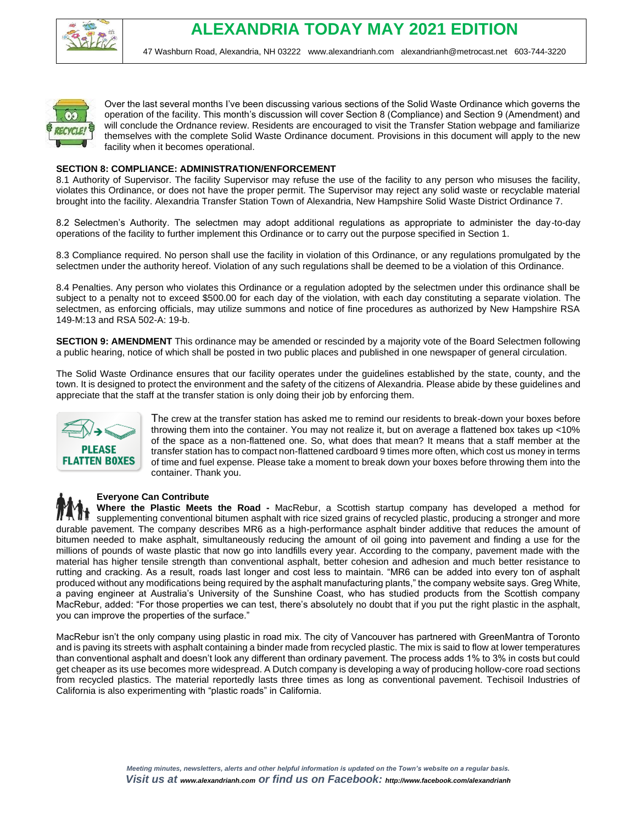



Over the last several months I've been discussing various sections of the Solid Waste Ordinance which governs the operation of the facility. This month's discussion will cover Section 8 (Compliance) and Section 9 (Amendment) and will conclude the Ordnance review. Residents are encouraged to visit the Transfer Station webpage and familiarize themselves with the complete Solid Waste Ordinance document. Provisions in this document will apply to the new facility when it becomes operational.

### **SECTION 8: COMPLIANCE: ADMINISTRATION/ENFORCEMENT**

8.1 Authority of Supervisor. The facility Supervisor may refuse the use of the facility to any person who misuses the facility, violates this Ordinance, or does not have the proper permit. The Supervisor may reject any solid waste or recyclable material brought into the facility. Alexandria Transfer Station Town of Alexandria, New Hampshire Solid Waste District Ordinance 7.

8.2 Selectmen's Authority. The selectmen may adopt additional regulations as appropriate to administer the day-to-day operations of the facility to further implement this Ordinance or to carry out the purpose specified in Section 1.

8.3 Compliance required. No person shall use the facility in violation of this Ordinance, or any regulations promulgated by the selectmen under the authority hereof. Violation of any such regulations shall be deemed to be a violation of this Ordinance.

8.4 Penalties. Any person who violates this Ordinance or a regulation adopted by the selectmen under this ordinance shall be subject to a penalty not to exceed \$500.00 for each day of the violation, with each day constituting a separate violation. The selectmen, as enforcing officials, may utilize summons and notice of fine procedures as authorized by New Hampshire RSA 149-M:13 and RSA 502-A: 19-b.

**SECTION 9: AMENDMENT** This ordinance may be amended or rescinded by a majority vote of the Board Selectmen following a public hearing, notice of which shall be posted in two public places and published in one newspaper of general circulation.

The Solid Waste Ordinance ensures that our facility operates under the guidelines established by the state, county, and the town. It is designed to protect the environment and the safety of the citizens of Alexandria. Please abide by these guidelines and appreciate that the staff at the transfer station is only doing their job by enforcing them.



The crew at the transfer station has asked me to remind our residents to break-down your boxes before throwing them into the container. You may not realize it, but on average a flattened box takes up <10% of the space as a non-flattened one. So, what does that mean? It means that a staff member at the transfer station has to compact non-flattened cardboard 9 times more often, which cost us money in terms of time and fuel expense. Please take a moment to break down your boxes before throwing them into the container. Thank you.

### **Everyone Can Contribute**

**Where the Plastic Meets the Road -** MacRebur, a Scottish startup company has developed a method for supplementing conventional bitumen asphalt with rice sized grains of recycled plastic, producing a stronger and more durable pavement. The company describes MR6 as a high-performance asphalt binder additive that reduces the amount of bitumen needed to make asphalt, simultaneously reducing the amount of oil going into pavement and finding a use for the millions of pounds of waste plastic that now go into landfills every year. According to the company, pavement made with the material has higher tensile strength than conventional asphalt, better cohesion and adhesion and much better resistance to rutting and cracking. As a result, roads last longer and cost less to maintain. "MR6 can be added into every ton of asphalt produced without any modifications being required by the asphalt manufacturing plants," the company website says. Greg White, a paving engineer at Australia's University of the Sunshine Coast, who has studied products from the Scottish company MacRebur, added: "For those properties we can test, there's absolutely no doubt that if you put the right plastic in the asphalt, you can improve the properties of the surface."

MacRebur isn't the only company using plastic in road mix. The city of Vancouver has partnered with GreenMantra of Toronto and is paving its streets with asphalt containing a binder made from recycled plastic. The mix is said to flow at lower temperatures than conventional asphalt and doesn't look any different than ordinary pavement. The process adds 1% to 3% in costs but could get cheaper as its use becomes more widespread. A Dutch company is developing a way of producing hollow-core road sections from recycled plastics. The material reportedly lasts three times as long as conventional pavement. Techisoil Industries of California is also experimenting with "plastic roads" in California.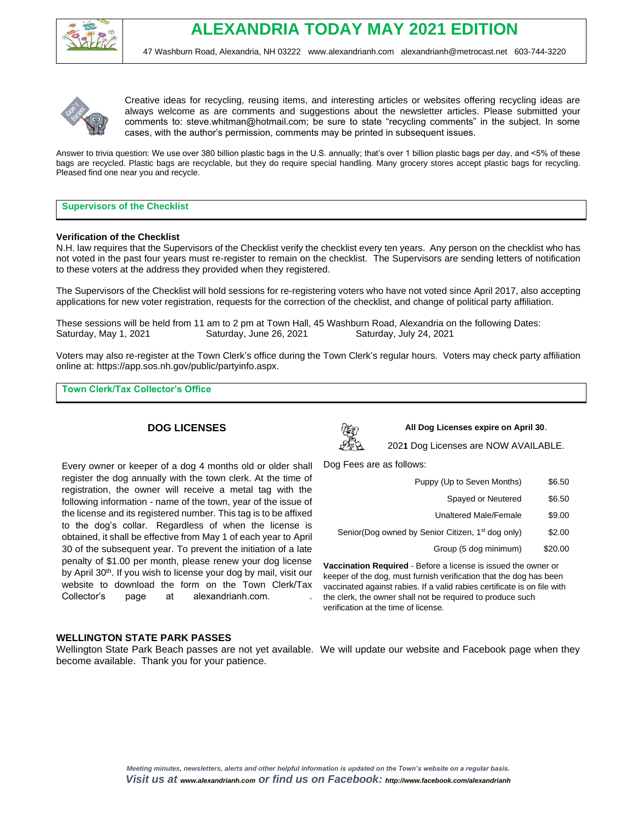



Creative ideas for recycling, reusing items, and interesting articles or websites offering recycling ideas are always welcome as are comments and suggestions about the newsletter articles. Please submitted your comments to: steve.whitman@hotmail.com; be sure to state "recycling comments" in the subject. In some cases, with the author's permission, comments may be printed in subsequent issues.

Answer to trivia question: We use over 380 billion plastic bags in the U.S. annually; that's over 1 billion plastic bags per day, and <5% of these bags are recycled. Plastic bags are recyclable, but they do require special handling. Many grocery stores accept plastic bags for recycling. Pleased find one near you and recycle.

# **Supervisors of the Checklist**

### **Verification of the Checklist**

N.H. law requires that the Supervisors of the Checklist verify the checklist every ten years. Any person on the checklist who has not voted in the past four years must re-register to remain on the checklist. The Supervisors are sending letters of notification to these voters at the address they provided when they registered.

The Supervisors of the Checklist will hold sessions for re-registering voters who have not voted since April 2017, also accepting applications for new voter registration, requests for the correction of the checklist, and change of political party affiliation.

These sessions will be held from 11 am to 2 pm at Town Hall, 45 Washburn Road, Alexandria on the following Dates: Saturday, May 1, 2021 Saturday, June 26, 2021 Saturday, July 24, 2021

Voters may also re-register at the Town Clerk's office during the Town Clerk's regular hours. Voters may check party affiliation online at: https://app.sos.nh.gov/public/partyinfo.aspx.

**Town Clerk/Tax Collector's Office** 

# **DOG LICENSES**

Every owner or keeper of a dog 4 months old or older shall register the dog annually with the town clerk. At the time of registration, the owner will receive a metal tag with the following information - name of the town, year of the issue of the license and its registered number. This tag is to be affixed to the dog's collar. Regardless of when the license is obtained, it shall be effective from May 1 of each year to April 30 of the subsequent year. To prevent the initiation of a late penalty of \$1.00 per month, please renew your dog license by April 30<sup>th</sup>. If you wish to license your dog by mail, visit our website to download the form on the Town Clerk/Tax



**All Dog Licenses expire on April 30**.

202**1** Dog Licenses are NOW AVAILABLE.

Dog Fees are as follows:

verification at the time of license.

| Puppy (Up to Seven Months)                                                                                                                     | \$6.50  |  |  |
|------------------------------------------------------------------------------------------------------------------------------------------------|---------|--|--|
| Spayed or Neutered                                                                                                                             | \$6.50  |  |  |
| <b>Unaltered Male/Female</b>                                                                                                                   | \$9.00  |  |  |
| Senior(Dog owned by Senior Citizen, 1 <sup>st</sup> dog only)                                                                                  | \$2.00  |  |  |
| Group (5 dog minimum)                                                                                                                          | \$20.00 |  |  |
| Vaccination Required - Before a license is issued the owner or                                                                                 |         |  |  |
| keeper of the dog, must furnish verification that the dog has been<br>vaccinated against rabies. If a valid rabies certificate is on file with |         |  |  |

the clerk, the owner shall not be required to produce such

**WELLINGTON STATE PARK PASSES**

Collector's page at alexandrianh.com. .

Wellington State Park Beach passes are not yet available. We will update our website and Facebook page when they become available. Thank you for your patience.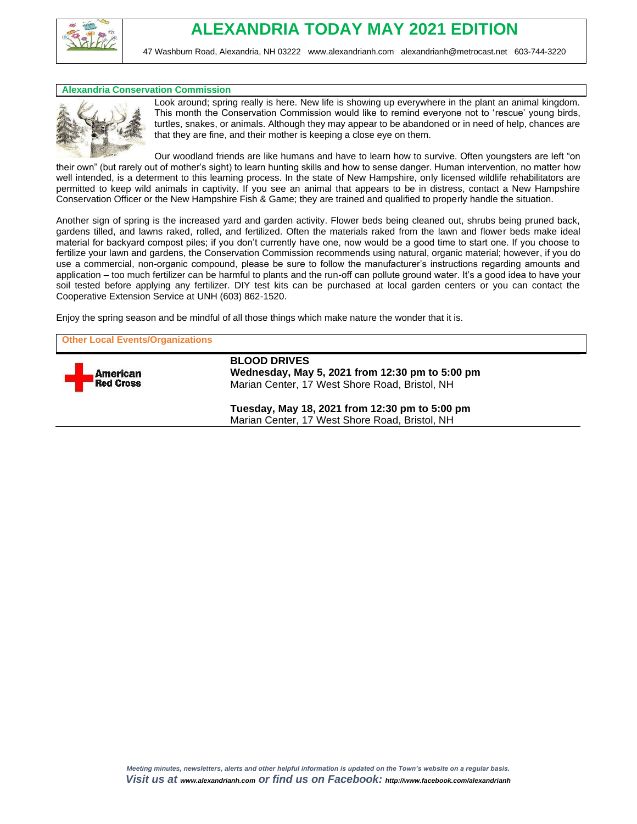

### **Alexandria Conservation Commission**



Look around; spring really is here. New life is showing up everywhere in the plant an animal kingdom. This month the Conservation Commission would like to remind everyone not to 'rescue' young birds, turtles, snakes, or animals. Although they may appear to be abandoned or in need of help, chances are that they are fine, and their mother is keeping a close eye on them.

Our woodland friends are like humans and have to learn how to survive. Often youngsters are left "on their own" (but rarely out of mother's sight) to learn hunting skills and how to sense danger. Human intervention, no matter how well intended, is a determent to this learning process. In the state of New Hampshire, only licensed wildlife rehabilitators are permitted to keep wild animals in captivity. If you see an animal that appears to be in distress, contact a New Hampshire Conservation Officer or the New Hampshire Fish & Game; they are trained and qualified to properly handle the situation.

Another sign of spring is the increased yard and garden activity. Flower beds being cleaned out, shrubs being pruned back, gardens tilled, and lawns raked, rolled, and fertilized. Often the materials raked from the lawn and flower beds make ideal material for backyard compost piles; if you don't currently have one, now would be a good time to start one. If you choose to fertilize your lawn and gardens, the Conservation Commission recommends using natural, organic material; however, if you do use a commercial, non-organic compound, please be sure to follow the manufacturer's instructions regarding amounts and application – too much fertilizer can be harmful to plants and the run-off can pollute ground water. It's a good idea to have your soil tested before applying any fertilizer. DIY test kits can be purchased at local garden centers or you can contact the Cooperative Extension Service at UNH (603) 862-1520.

Enjoy the spring season and be mindful of all those things which make nature the wonder that it is.

**Other Local Events/Organizations**



**BLOOD DRIVES Wednesday, May 5, 2021 from 12:30 pm to 5:00 pm** Marian Center, 17 West Shore Road, Bristol, NH

**Tuesday, May 18, 2021 from 12:30 pm to 5:00 pm** Marian Center, 17 West Shore Road, Bristol, NH